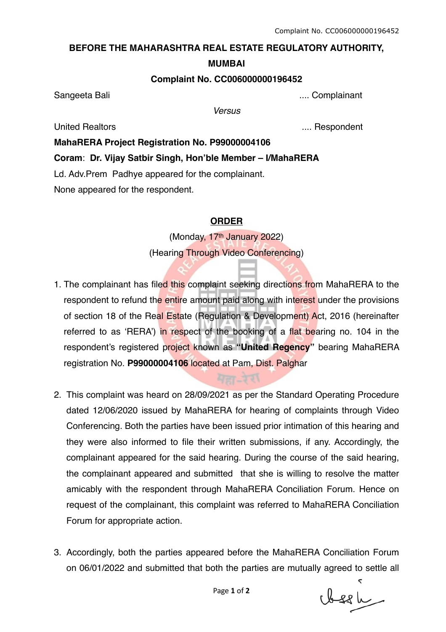# **BEFORE THE MAHARASHTRA REAL ESTATE REGULATORY AUTHORITY,**

#### **MUMBAI**

### **Complaint No. CC006000000196452**

Sangeeta Bali .... Complainant

*Versus*

United Realtors .... Respondent

# **MahaRERA Project Registration No. P99000004106**

**Coram**: **Dr. Vijay Satbir Singh, Hon'ble Member – I/MahaRERA**

Ld. Adv.Prem Padhye appeared for the complainant.

None appeared for the respondent.

# **ORDER**

(Monday, 17<sup>th</sup> January 2022) (Hearing Through Video Conferencing)

- 1. The complainant has filed this complaint seeking directions from MahaRERA to the respondent to refund the entire amount paid along with interest under the provisions of section 18 of the Real Estate (Regulation & Development) Act, 2016 (hereinafter referred to as 'RERA') in respect of the booking of a flat bearing no. 104 in the respondent's registered project known as **"United Regency"** bearing MahaRERA registration No. **P99000004106** located at Pam, Dist. Palghar
- 2. This complaint was heard on 28/09/2021 as per the Standard Operating Procedure dated 12/06/2020 issued by MahaRERA for hearing of complaints through Video Conferencing. Both the parties have been issued prior intimation of this hearing and they were also informed to file their written submissions, if any. Accordingly, the complainant appeared for the said hearing. During the course of the said hearing, the complainant appeared and submitted that she is willing to resolve the matter amicably with the respondent through MahaRERA Conciliation Forum. Hence on request of the complainant, this complaint was referred to MahaRERA Conciliation Forum for appropriate action.
- 3. Accordingly, both the parties appeared before the MahaRERA Conciliation Forum on 06/01/2022 and submitted that both the parties are mutually agreed to settle all

clessle